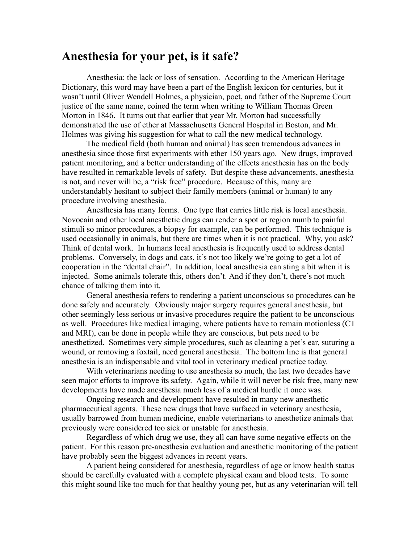## **Anesthesia for your pet, is it safe?**

Anesthesia: the lack or loss of sensation. According to the American Heritage Dictionary, this word may have been a part of the English lexicon for centuries, but it wasn't until Oliver Wendell Holmes, a physician, poet, and father of the Supreme Court justice of the same name, coined the term when writing to William Thomas Green Morton in 1846. It turns out that earlier that year Mr. Morton had successfully demonstrated the use of ether at Massachusetts General Hospital in Boston, and Mr. Holmes was giving his suggestion for what to call the new medical technology.

The medical field (both human and animal) has seen tremendous advances in anesthesia since those first experiments with ether 150 years ago. New drugs, improved patient monitoring, and a better understanding of the effects anesthesia has on the body have resulted in remarkable levels of safety. But despite these advancements, anesthesia is not, and never will be, a "risk free" procedure. Because of this, many are understandably hesitant to subject their family members (animal or human) to any procedure involving anesthesia.

Anesthesia has many forms. One type that carries little risk is local anesthesia. Novocain and other local anesthetic drugs can render a spot or region numb to painful stimuli so minor procedures, a biopsy for example, can be performed. This technique is used occasionally in animals, but there are times when it is not practical. Why, you ask? Think of dental work. In humans local anesthesia is frequently used to address dental problems. Conversely, in dogs and cats, it's not too likely we're going to get a lot of cooperation in the "dental chair". In addition, local anesthesia can sting a bit when it is injected. Some animals tolerate this, others don't. And if they don't, there's not much chance of talking them into it.

General anesthesia refers to rendering a patient unconscious so procedures can be done safely and accurately. Obviously major surgery requires general anesthesia, but other seemingly less serious or invasive procedures require the patient to be unconscious as well. Procedures like medical imaging, where patients have to remain motionless (CT and MRI), can be done in people while they are conscious, but pets need to be anesthetized. Sometimes very simple procedures, such as cleaning a pet's ear, suturing a wound, or removing a foxtail, need general anesthesia. The bottom line is that general anesthesia is an indispensable and vital tool in veterinary medical practice today.

With veterinarians needing to use anesthesia so much, the last two decades have seen major efforts to improve its safety. Again, while it will never be risk free, many new developments have made anesthesia much less of a medical hurdle it once was.

Ongoing research and development have resulted in many new anesthetic pharmaceutical agents. These new drugs that have surfaced in veterinary anesthesia, usually barrowed from human medicine, enable veterinarians to anesthetize animals that previously were considered too sick or unstable for anesthesia.

Regardless of which drug we use, they all can have some negative effects on the patient. For this reason pre-anesthesia evaluation and anesthetic monitoring of the patient have probably seen the biggest advances in recent years.

A patient being considered for anesthesia, regardless of age or know health status should be carefully evaluated with a complete physical exam and blood tests. To some this might sound like too much for that healthy young pet, but as any veterinarian will tell